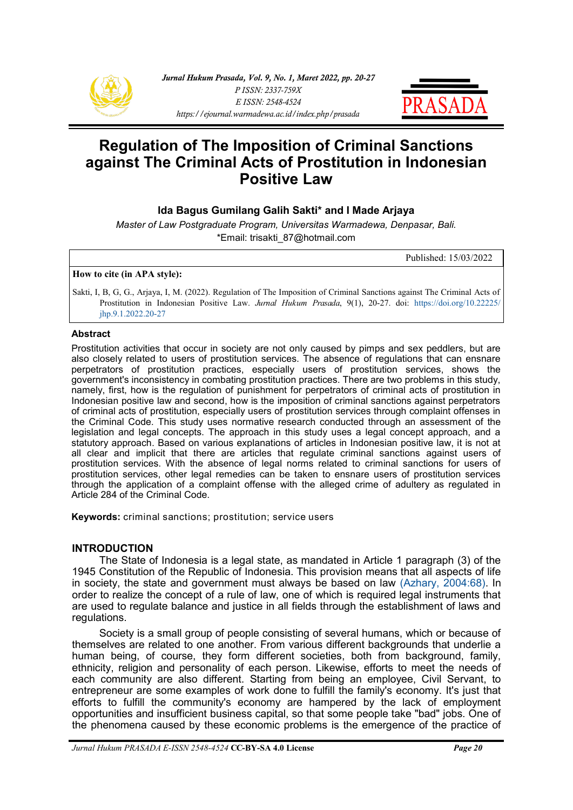



# **Regulation of The Imposition of Criminal Sanctions against The Criminal Acts of Prostitution in Indonesian Positive Law**

# **Ida Bagus Gumilang Galih Sakti\* and I Made Arjaya**

*Master of Law Postgraduate Program, Universitas Warmadewa, Denpasar, Bali.* \*Email: trisakti\_87@hotmail.com

Published: 15/03/2022

#### **How to cite (in APA style):**

Sakti, I, B, G, G., Arjaya, I, M. (2022). Regulation of The Imposition of Criminal Sanctions against The Criminal Acts of Prostitution in Indonesian Positive Law. *Jurnal Hukum Prasada*, 9(1), 20-27. doi: [https://doi.org/10.22225/](https://ejournal.warmadewa.ac.id/index.php/prasada/article/view/4759) [jhp.9.1.2022.20](https://ejournal.warmadewa.ac.id/index.php/prasada/article/view/4759)-27

#### **Abstract**

Prostitution activities that occur in society are not only caused by pimps and sex peddlers, but are also closely related to users of prostitution services. The absence of regulations that can ensnare perpetrators of prostitution practices, especially users of prostitution services, shows the government's inconsistency in combating prostitution practices. There are two problems in this study, namely, first, how is the regulation of punishment for perpetrators of criminal acts of prostitution in Indonesian positive law and second, how is the imposition of criminal sanctions against perpetrators of criminal acts of prostitution, especially users of prostitution services through complaint offenses in the Criminal Code. This study uses normative research conducted through an assessment of the legislation and legal concepts. The approach in this study uses a legal concept approach, and a statutory approach. Based on various explanations of articles in Indonesian positive law, it is not at all clear and implicit that there are articles that regulate criminal sanctions against users of prostitution services. With the absence of legal norms related to criminal sanctions for users of prostitution services, other legal remedies can be taken to ensnare users of prostitution services through the application of a complaint offense with the alleged crime of adultery as regulated in Article 284 of the Criminal Code.

**Keywords:** criminal sanctions; prostitution; service users

## **INTRODUCTION**

The State of Indonesia is a legal state, as mandated in Article 1 paragraph (3) of the 1945 Constitution of the Republic of Indonesia. This provision means that all aspects of life in society, the state and government must always be based on law [\(Azhary, 2004:68\).](#page-6-0) In order to realize the concept of a rule of law, one of which is required legal instruments that are used to regulate balance and justice in all fields through the establishment of laws and regulations.

Society is a small group of people consisting of several humans, which or because of themselves are related to one another. From various different backgrounds that underlie a human being, of course, they form different societies, both from background, family, ethnicity, religion and personality of each person. Likewise, efforts to meet the needs of each community are also different. Starting from being an employee, Civil Servant, to entrepreneur are some examples of work done to fulfill the family's economy. It's just that efforts to fulfill the community's economy are hampered by the lack of employment opportunities and insufficient business capital, so that some people take "bad" jobs. One of the phenomena caused by these economic problems is the emergence of the practice of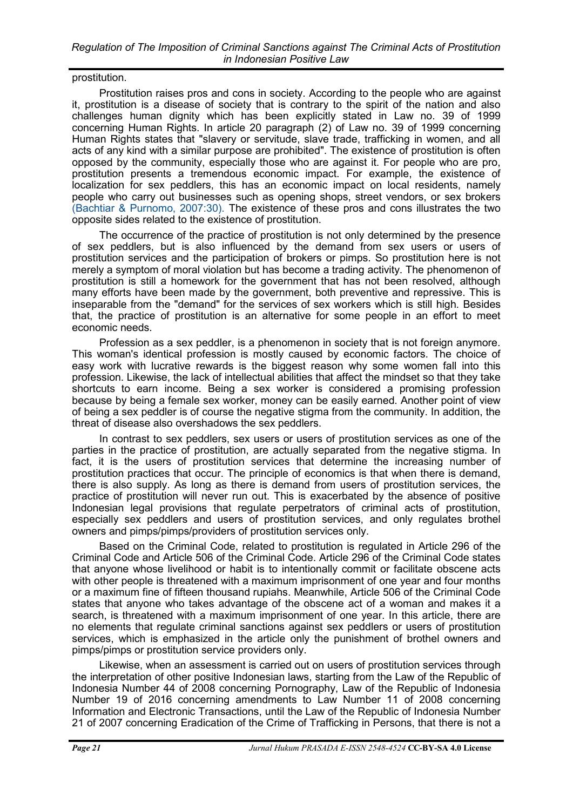prostitution.

Prostitution raises pros and cons in society. According to the people who are against it, prostitution is a disease of society that is contrary to the spirit of the nation and also challenges human dignity which has been explicitly stated in Law no. 39 of 1999 concerning Human Rights. In article 20 paragraph (2) of Law no. 39 of 1999 concerning Human Rights states that "slavery or servitude, slave trade, trafficking in women, and all acts of any kind with a similar purpose are prohibited". The existence of prostitution is often opposed by the community, especially those who are against it. For people who are pro, prostitution presents a tremendous economic impact. For example, the existence of localization for sex peddlers, this has an economic impact on local residents, namely people who carry out businesses such as opening shops, street vendors, or sex brokers [\(Bachtiar & Purnomo, 2007:30\).](#page-7-0) The existence of these pros and cons illustrates the two opposite sides related to the existence of prostitution.

The occurrence of the practice of prostitution is not only determined by the presence of sex peddlers, but is also influenced by the demand from sex users or users of prostitution services and the participation of brokers or pimps. So prostitution here is not merely a symptom of moral violation but has become a trading activity. The phenomenon of prostitution is still a homework for the government that has not been resolved, although many efforts have been made by the government, both preventive and repressive. This is inseparable from the "demand" for the services of sex workers which is still high. Besides that, the practice of prostitution is an alternative for some people in an effort to meet economic needs.

Profession as a sex peddler, is a phenomenon in society that is not foreign anymore. This woman's identical profession is mostly caused by economic factors. The choice of easy work with lucrative rewards is the biggest reason why some women fall into this profession. Likewise, the lack of intellectual abilities that affect the mindset so that they take shortcuts to earn income. Being a sex worker is considered a promising profession because by being a female sex worker, money can be easily earned. Another point of view of being a sex peddler is of course the negative stigma from the community. In addition, the threat of disease also overshadows the sex peddlers.

In contrast to sex peddlers, sex users or users of prostitution services as one of the parties in the practice of prostitution, are actually separated from the negative stigma. In fact, it is the users of prostitution services that determine the increasing number of prostitution practices that occur. The principle of economics is that when there is demand, there is also supply. As long as there is demand from users of prostitution services, the practice of prostitution will never run out. This is exacerbated by the absence of positive Indonesian legal provisions that regulate perpetrators of criminal acts of prostitution, especially sex peddlers and users of prostitution services, and only regulates brothel owners and pimps/pimps/providers of prostitution services only.

Based on the Criminal Code, related to prostitution is regulated in Article 296 of the Criminal Code and Article 506 of the Criminal Code. Article 296 of the Criminal Code states that anyone whose livelihood or habit is to intentionally commit or facilitate obscene acts with other people is threatened with a maximum imprisonment of one year and four months or a maximum fine of fifteen thousand rupiahs. Meanwhile, Article 506 of the Criminal Code states that anyone who takes advantage of the obscene act of a woman and makes it a search, is threatened with a maximum imprisonment of one year. In this article, there are no elements that regulate criminal sanctions against sex peddlers or users of prostitution services, which is emphasized in the article only the punishment of brothel owners and pimps/pimps or prostitution service providers only.

Likewise, when an assessment is carried out on users of prostitution services through the interpretation of other positive Indonesian laws, starting from the Law of the Republic of Indonesia Number 44 of 2008 concerning Pornography, Law of the Republic of Indonesia Number 19 of 2016 concerning amendments to Law Number 11 of 2008 concerning Information and Electronic Transactions, until the Law of the Republic of Indonesia Number 21 of 2007 concerning Eradication of the Crime of Trafficking in Persons, that there is not a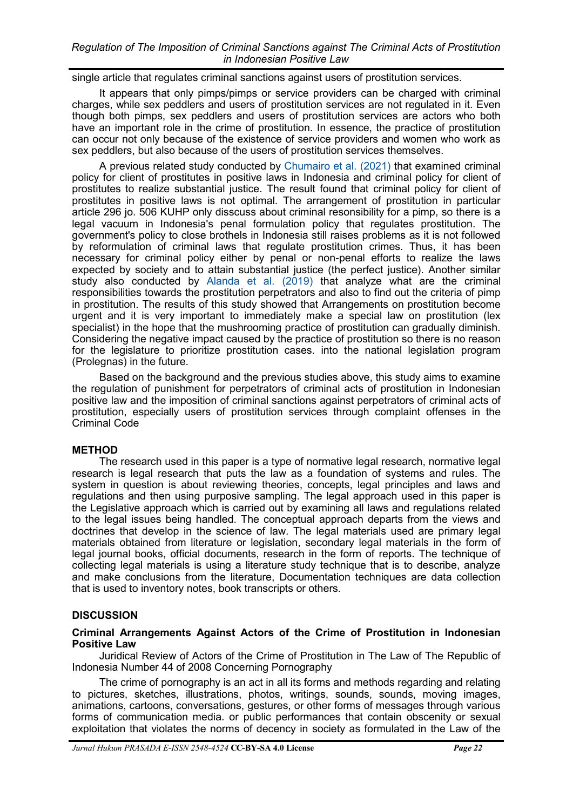## *Regulation of The Imposition of Criminal Sanctions against The Criminal Acts of Prostitution in Indonesian Positive Law*

single article that regulates criminal sanctions against users of prostitution services.

It appears that only pimps/pimps or service providers can be charged with criminal charges, while sex peddlers and users of prostitution services are not regulated in it. Even though both pimps, sex peddlers and users of prostitution services are actors who both have an important role in the crime of prostitution. In essence, the practice of prostitution can occur not only because of the existence of service providers and women who work as sex peddlers, but also because of the users of prostitution services themselves.

A previous related study conducted by [Chumairo et al. \(2021\)](#page-7-0) that examined criminal policy for client of prostitutes in positive laws in Indonesia and criminal policy for client of prostitutes to realize substantial justice. The result found that criminal policy for client of prostitutes in positive laws is not optimal. The arrangement of prostitution in particular article 296 jo. 506 KUHP only disscuss about criminal resonsibility for a pimp, so there is a legal vacuum in Indonesia's penal formulation policy that regulates prostitution. The government's policy to close brothels in Indonesia still raises problems as it is not followed by reformulation of criminal laws that regulate prostitution crimes. Thus, it has been necessary for criminal policy either by penal or non-penal efforts to realize the laws expected by society and to attain substantial justice (the perfect justice). Another similar study also conducted by [Alanda et al. \(2019\)](#page-7-0) that analyze what are the criminal responsibilities towards the prostitution perpetrators and also to find out the criteria of pimp in prostitution. The results of this study showed that Arrangements on prostitution become urgent and it is very important to immediately make a special law on prostitution (lex specialist) in the hope that the mushrooming practice of prostitution can gradually diminish. Considering the negative impact caused by the practice of prostitution so there is no reason for the legislature to prioritize prostitution cases. into the national legislation program (Prolegnas) in the future.

Based on the background and the previous studies above, this study aims to examine the regulation of punishment for perpetrators of criminal acts of prostitution in Indonesian positive law and the imposition of criminal sanctions against perpetrators of criminal acts of prostitution, especially users of prostitution services through complaint offenses in the Criminal Code

## **METHOD**

The research used in this paper is a type of normative legal research, normative legal research is legal research that puts the law as a foundation of systems and rules. The system in question is about reviewing theories, concepts, legal principles and laws and regulations and then using purposive sampling. The legal approach used in this paper is the Legislative approach which is carried out by examining all laws and regulations related to the legal issues being handled. The conceptual approach departs from the views and doctrines that develop in the science of law. The legal materials used are primary legal materials obtained from literature or legislation, secondary legal materials in the form of legal journal books, official documents, research in the form of reports. The technique of collecting legal materials is using a literature study technique that is to describe, analyze and make conclusions from the literature, Documentation techniques are data collection that is used to inventory notes, book transcripts or others.

## **DISCUSSION**

## **Criminal Arrangements Against Actors of the Crime of Prostitution in Indonesian Positive Law**

Juridical Review of Actors of the Crime of Prostitution in The Law of The Republic of Indonesia Number 44 of 2008 Concerning Pornography

The crime of pornography is an act in all its forms and methods regarding and relating to pictures, sketches, illustrations, photos, writings, sounds, sounds, moving images, animations, cartoons, conversations, gestures, or other forms of messages through various forms of communication media. or public performances that contain obscenity or sexual exploitation that violates the norms of decency in society as formulated in the Law of the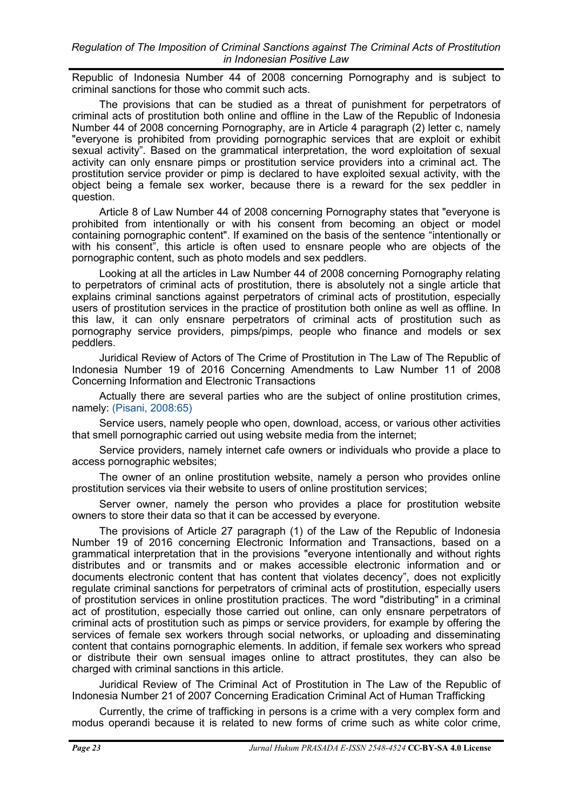Republic of Indonesia Number 44 of 2008 concerning Pornography and is subject to criminal sanctions for those who commit such acts.

The provisions that can be studied as a threat of punishment for perpetrators of criminal acts of prostitution both online and offline in the Law of the Republic of Indonesia Number 44 of 2008 concerning Pornography, are in Article 4 paragraph (2) letter c, namely "everyone is prohibited from providing pornographic services that are exploit or exhibit sexual activity". Based on the grammatical interpretation, the word exploitation of sexual activity can only ensnare pimps or prostitution service providers into a criminal act. The prostitution service provider or pimp is declared to have exploited sexual activity, with the object being a female sex worker, because there is a reward for the sex peddler in question.

Article 8 of Law Number 44 of 2008 concerning Pornography states that "everyone is prohibited from intentionally or with his consent from becoming an object or model containing pornographic content". If examined on the basis of the sentence "intentionally or with his consent", this article is often used to ensnare people who are objects of the pornographic content, such as photo models and sex peddlers.

Looking at all the articles in Law Number 44 of 2008 concerning Pornography relating to perpetrators of criminal acts of prostitution, there is absolutely not a single article that explains criminal sanctions against perpetrators of criminal acts of prostitution, especially users of prostitution services in the practice of prostitution both online as well as offline. In this law, it can only ensnare perpetrators of criminal acts of prostitution such as pornography service providers, pimps/pimps, people who finance and models or sex peddlers.

Juridical Review of Actors of The Crime of Prostitution in The Law of The Republic of Indonesia Number 19 of 2016 Concerning Amendments to Law Number 11 of 2008 Concerning Information and Electronic Transactions

Actually there are several parties who are the subject of online prostitution crimes, namely: [\(Pisani, 2008:65\)](#page-7-0)

Service users, namely people who open, download, access, or various other activities that smell pornographic carried out using website media from the internet;

Service providers, namely internet cafe owners or individuals who provide a place to access pornographic websites;

The owner of an online prostitution website, namely a person who provides online prostitution services via their website to users of online prostitution services;

Server owner, namely the person who provides a place for prostitution website owners to store their data so that it can be accessed by everyone.

The provisions of Article 27 paragraph (1) of the Law of the Republic of Indonesia Number 19 of 2016 concerning Electronic Information and Transactions, based on a grammatical interpretation that in the provisions "everyone intentionally and without rights distributes and or transmits and or makes accessible electronic information and or documents electronic content that has content that violates decency", does not explicitly regulate criminal sanctions for perpetrators of criminal acts of prostitution, especially users of prostitution services in online prostitution practices. The word "distributing" in a criminal act of prostitution, especially those carried out online, can only ensnare perpetrators of criminal acts of prostitution such as pimps or service providers, for example by offering the services of female sex workers through social networks, or uploading and disseminating content that contains pornographic elements. In addition, if female sex workers who spread or distribute their own sensual images online to attract prostitutes, they can also be charged with criminal sanctions in this article.

Juridical Review of The Criminal Act of Prostitution in The Law of the Republic of Indonesia Number 21 of 2007 Concerning Eradication Criminal Act of Human Trafficking

Currently, the crime of trafficking in persons is a crime with a very complex form and modus operandi because it is related to new forms of crime such as white color crime,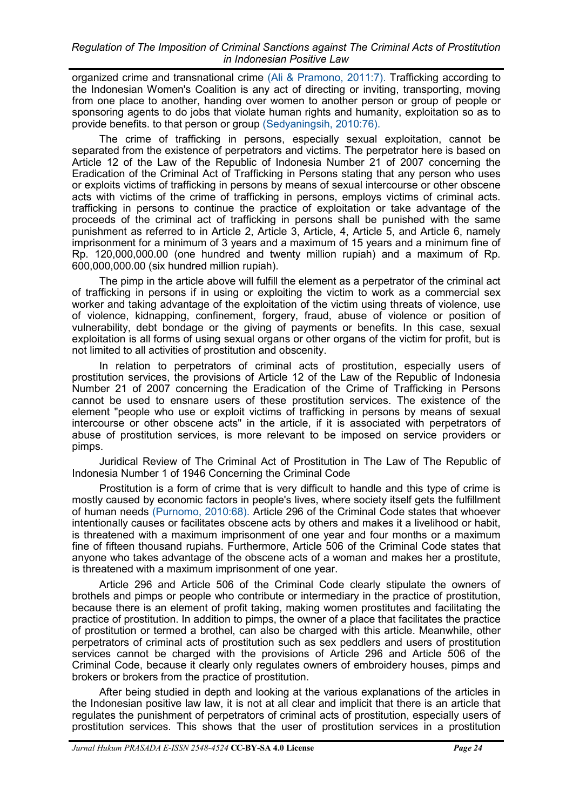organized crime and transnational crime [\(Ali & Pramono, 2011:7\).](#page-7-0) Trafficking according to the Indonesian Women's Coalition is any act of directing or inviting, transporting, moving from one place to another, handing over women to another person or group of people or sponsoring agents to do jobs that violate human rights and humanity, exploitation so as to provide benefits. to that person or group [\(Sedyaningsih, 2010:76\).](#page-7-0)

The crime of trafficking in persons, especially sexual exploitation, cannot be separated from the existence of perpetrators and victims. The perpetrator here is based on Article 12 of the Law of the Republic of Indonesia Number 21 of 2007 concerning the Eradication of the Criminal Act of Trafficking in Persons stating that any person who uses or exploits victims of trafficking in persons by means of sexual intercourse or other obscene acts with victims of the crime of trafficking in persons, employs victims of criminal acts. trafficking in persons to continue the practice of exploitation or take advantage of the proceeds of the criminal act of trafficking in persons shall be punished with the same punishment as referred to in Article 2, Article 3, Article, 4, Article 5, and Article 6, namely imprisonment for a minimum of 3 years and a maximum of 15 years and a minimum fine of Rp. 120,000,000.00 (one hundred and twenty million rupiah) and a maximum of Rp. 600,000,000.00 (six hundred million rupiah).

The pimp in the article above will fulfill the element as a perpetrator of the criminal act of trafficking in persons if in using or exploiting the victim to work as a commercial sex worker and taking advantage of the exploitation of the victim using threats of violence, use of violence, kidnapping, confinement, forgery, fraud, abuse of violence or position of vulnerability, debt bondage or the giving of payments or benefits. In this case, sexual exploitation is all forms of using sexual organs or other organs of the victim for profit, but is not limited to all activities of prostitution and obscenity.

In relation to perpetrators of criminal acts of prostitution, especially users of prostitution services, the provisions of Article 12 of the Law of the Republic of Indonesia Number 21 of 2007 concerning the Eradication of the Crime of Trafficking in Persons cannot be used to ensnare users of these prostitution services. The existence of the element "people who use or exploit victims of trafficking in persons by means of sexual intercourse or other obscene acts" in the article, if it is associated with perpetrators of abuse of prostitution services, is more relevant to be imposed on service providers or pimps.

Juridical Review of The Criminal Act of Prostitution in The Law of The Republic of Indonesia Number 1 of 1946 Concerning the Criminal Code

Prostitution is a form of crime that is very difficult to handle and this type of crime is mostly caused by economic factors in people's lives, where society itself gets the fulfillment of human needs [\(Purnomo, 2010:68\).](#page-7-0) Article 296 of the Criminal Code states that whoever intentionally causes or facilitates obscene acts by others and makes it a livelihood or habit, is threatened with a maximum imprisonment of one year and four months or a maximum fine of fifteen thousand rupiahs. Furthermore, Article 506 of the Criminal Code states that anyone who takes advantage of the obscene acts of a woman and makes her a prostitute, is threatened with a maximum imprisonment of one year.

Article 296 and Article 506 of the Criminal Code clearly stipulate the owners of brothels and pimps or people who contribute or intermediary in the practice of prostitution, because there is an element of profit taking, making women prostitutes and facilitating the practice of prostitution. In addition to pimps, the owner of a place that facilitates the practice of prostitution or termed a brothel, can also be charged with this article. Meanwhile, other perpetrators of criminal acts of prostitution such as sex peddlers and users of prostitution services cannot be charged with the provisions of Article 296 and Article 506 of the Criminal Code, because it clearly only regulates owners of embroidery houses, pimps and brokers or brokers from the practice of prostitution.

After being studied in depth and looking at the various explanations of the articles in the Indonesian positive law law, it is not at all clear and implicit that there is an article that regulates the punishment of perpetrators of criminal acts of prostitution, especially users of prostitution services. This shows that the user of prostitution services in a prostitution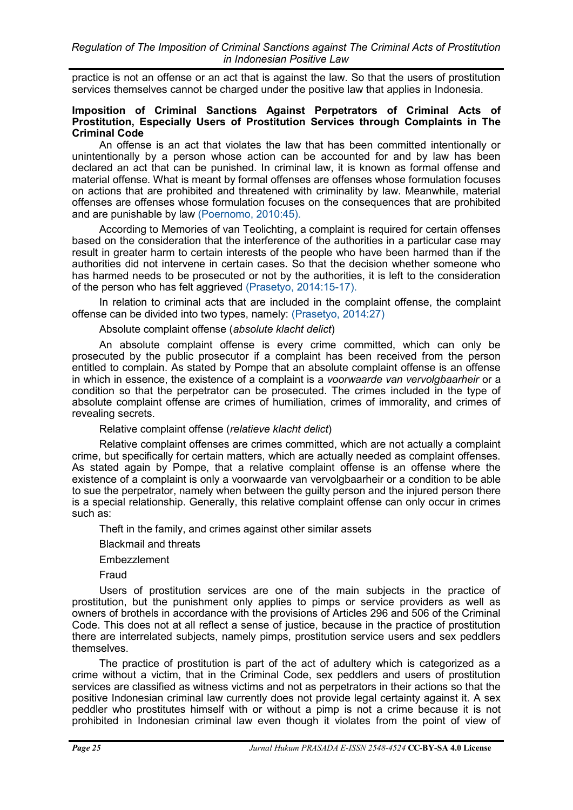practice is not an offense or an act that is against the law. So that the users of prostitution services themselves cannot be charged under the positive law that applies in Indonesia.

## **Imposition of Criminal Sanctions Against Perpetrators of Criminal Acts of Prostitution, Especially Users of Prostitution Services through Complaints in The Criminal Code**

An offense is an act that violates the law that has been committed intentionally or unintentionally by a person whose action can be accounted for and by law has been declared an act that can be punished. In criminal law, it is known as formal offense and material offense. What is meant by formal offenses are offenses whose formulation focuses on actions that are prohibited and threatened with criminality by law. Meanwhile, material offenses are offenses whose formulation focuses on the consequences that are prohibited and are punishable by law [\(Poernomo, 2010:45\).](#page-7-0)

According to Memories of van Teolichting, a complaint is required for certain offenses based on the consideration that the interference of the authorities in a particular case may result in greater harm to certain interests of the people who have been harmed than if the authorities did not intervene in certain cases. So that the decision whether someone who has harmed needs to be prosecuted or not by the authorities, it is left to the consideration of the person who has felt aggrieved [\(Prasetyo, 2014:15](#page-7-0)-17).

In relation to criminal acts that are included in the complaint offense, the complaint offense can be divided into two types, namely: [\(Prasetyo, 2014:27\)](#page-7-0)

## Absolute complaint offense (*absolute klacht delict*)

An absolute complaint offense is every crime committed, which can only be prosecuted by the public prosecutor if a complaint has been received from the person entitled to complain. As stated by Pompe that an absolute complaint offense is an offense in which in essence, the existence of a complaint is a *voorwaarde van vervolgbaarheir* or a condition so that the perpetrator can be prosecuted. The crimes included in the type of absolute complaint offense are crimes of humiliation, crimes of immorality, and crimes of revealing secrets.

Relative complaint offense (*relatieve klacht delict*)

Relative complaint offenses are crimes committed, which are not actually a complaint crime, but specifically for certain matters, which are actually needed as complaint offenses. As stated again by Pompe, that a relative complaint offense is an offense where the existence of a complaint is only a voorwaarde van vervolgbaarheir or a condition to be able to sue the perpetrator, namely when between the guilty person and the injured person there is a special relationship. Generally, this relative complaint offense can only occur in crimes such as:

Theft in the family, and crimes against other similar assets

Blackmail and threats

Embezzlement

Fraud

Users of prostitution services are one of the main subjects in the practice of prostitution, but the punishment only applies to pimps or service providers as well as owners of brothels in accordance with the provisions of Articles 296 and 506 of the Criminal Code. This does not at all reflect a sense of justice, because in the practice of prostitution there are interrelated subjects, namely pimps, prostitution service users and sex peddlers themselves.

The practice of prostitution is part of the act of adultery which is categorized as a crime without a victim, that in the Criminal Code, sex peddlers and users of prostitution services are classified as witness victims and not as perpetrators in their actions so that the positive Indonesian criminal law currently does not provide legal certainty against it. A sex peddler who prostitutes himself with or without a pimp is not a crime because it is not prohibited in Indonesian criminal law even though it violates from the point of view of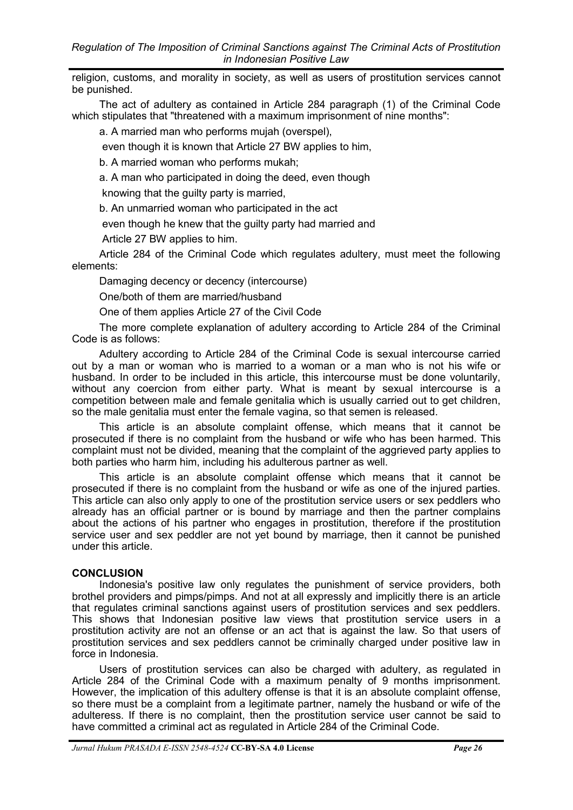<span id="page-6-0"></span>religion, customs, and morality in society, as well as users of prostitution services cannot be punished.

The act of adultery as contained in Article 284 paragraph (1) of the Criminal Code which stipulates that "threatened with a maximum imprisonment of nine months":

a. A married man who performs mujah (overspel),

even though it is known that Article 27 BW applies to him,

b. A married woman who performs mukah;

a. A man who participated in doing the deed, even though

knowing that the guilty party is married,

b. An unmarried woman who participated in the act

even though he knew that the guilty party had married and

Article 27 BW applies to him.

Article 284 of the Criminal Code which regulates adultery, must meet the following elements:

Damaging decency or decency (intercourse)

One/both of them are married/husband

One of them applies Article 27 of the Civil Code

The more complete explanation of adultery according to Article 284 of the Criminal Code is as follows:

Adultery according to Article 284 of the Criminal Code is sexual intercourse carried out by a man or woman who is married to a woman or a man who is not his wife or husband. In order to be included in this article, this intercourse must be done voluntarily, without any coercion from either party. What is meant by sexual intercourse is a competition between male and female genitalia which is usually carried out to get children, so the male genitalia must enter the female vagina, so that semen is released.

This article is an absolute complaint offense, which means that it cannot be prosecuted if there is no complaint from the husband or wife who has been harmed. This complaint must not be divided, meaning that the complaint of the aggrieved party applies to both parties who harm him, including his adulterous partner as well.

This article is an absolute complaint offense which means that it cannot be prosecuted if there is no complaint from the husband or wife as one of the injured parties. This article can also only apply to one of the prostitution service users or sex peddlers who already has an official partner or is bound by marriage and then the partner complains about the actions of his partner who engages in prostitution, therefore if the prostitution service user and sex peddler are not yet bound by marriage, then it cannot be punished under this article.

## **CONCLUSION**

Indonesia's positive law only regulates the punishment of service providers, both brothel providers and pimps/pimps. And not at all expressly and implicitly there is an article that regulates criminal sanctions against users of prostitution services and sex peddlers. This shows that Indonesian positive law views that prostitution service users in a prostitution activity are not an offense or an act that is against the law. So that users of prostitution services and sex peddlers cannot be criminally charged under positive law in force in Indonesia.

Users of prostitution services can also be charged with adultery, as regulated in Article 284 of the Criminal Code with a maximum penalty of 9 months imprisonment. However, the implication of this adultery offense is that it is an absolute complaint offense, so there must be a complaint from a legitimate partner, namely the husband or wife of the adulteress. If there is no complaint, then the prostitution service user cannot be said to have committed a criminal act as regulated in Article 284 of the Criminal Code.

*Jurnal Hukum PRASADA E-ISSN 2548-4524* **CC-BY-SA 4.0 License** *Page 26*